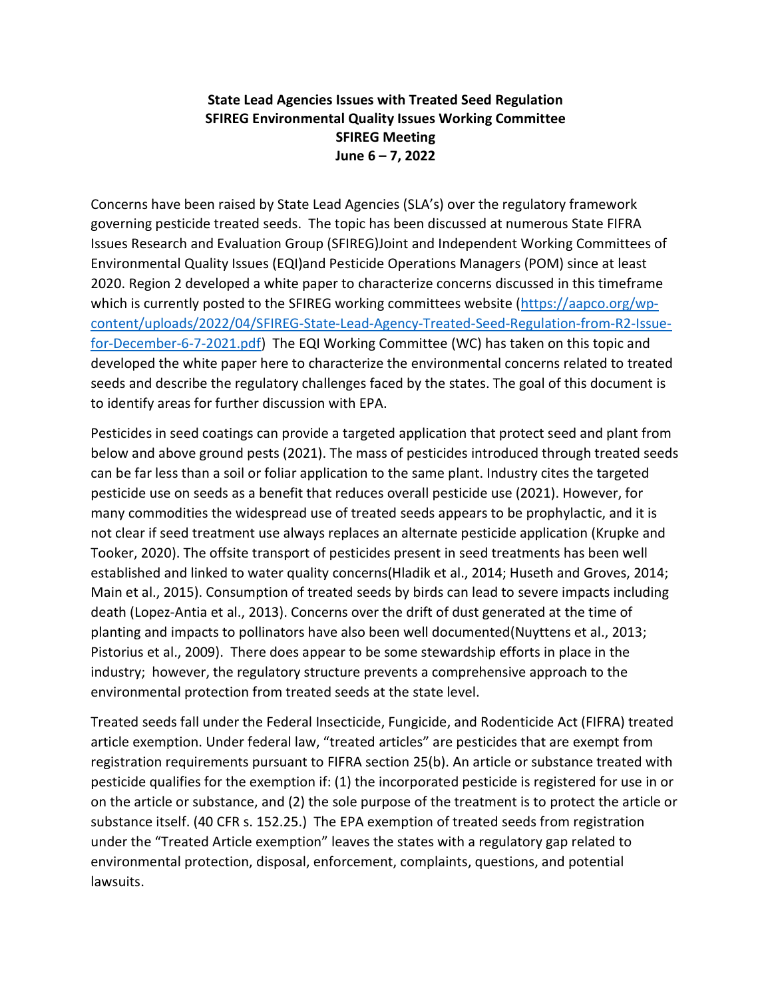## State Lead Agencies Issues with Treated Seed Regulation SFIREG Environmental Quality Issues Working Committee SFIREG Meeting June 6 – 7, 2022

Concerns have been raised by State Lead Agencies (SLA's) over the regulatory framework governing pesticide treated seeds. The topic has been discussed at numerous State FIFRA Issues Research and Evaluation Group (SFIREG)Joint and Independent Working Committees of Environmental Quality Issues (EQI)and Pesticide Operations Managers (POM) since at least 2020. Region 2 developed a white paper to characterize concerns discussed in this timeframe which is currently posted to the SFIREG working committees website (https://aapco.org/wpcontent/uploads/2022/04/SFIREG-State-Lead-Agency-Treated-Seed-Regulation-from-R2-Issuefor-December-6-7-2021.pdf) The EQI Working Committee (WC) has taken on this topic and developed the white paper here to characterize the environmental concerns related to treated seeds and describe the regulatory challenges faced by the states. The goal of this document is to identify areas for further discussion with EPA.

Pesticides in seed coatings can provide a targeted application that protect seed and plant from below and above ground pests (2021). The mass of pesticides introduced through treated seeds can be far less than a soil or foliar application to the same plant. Industry cites the targeted pesticide use on seeds as a benefit that reduces overall pesticide use (2021). However, for many commodities the widespread use of treated seeds appears to be prophylactic, and it is not clear if seed treatment use always replaces an alternate pesticide application (Krupke and Tooker, 2020). The offsite transport of pesticides present in seed treatments has been well established and linked to water quality concerns(Hladik et al., 2014; Huseth and Groves, 2014; Main et al., 2015). Consumption of treated seeds by birds can lead to severe impacts including death (Lopez-Antia et al., 2013). Concerns over the drift of dust generated at the time of planting and impacts to pollinators have also been well documented(Nuyttens et al., 2013; Pistorius et al., 2009). There does appear to be some stewardship efforts in place in the industry; however, the regulatory structure prevents a comprehensive approach to the environmental protection from treated seeds at the state level.

Treated seeds fall under the Federal Insecticide, Fungicide, and Rodenticide Act (FIFRA) treated article exemption. Under federal law, "treated articles" are pesticides that are exempt from registration requirements pursuant to FIFRA section 25(b). An article or substance treated with pesticide qualifies for the exemption if: (1) the incorporated pesticide is registered for use in or on the article or substance, and (2) the sole purpose of the treatment is to protect the article or substance itself. (40 CFR s. 152.25.) The EPA exemption of treated seeds from registration under the "Treated Article exemption" leaves the states with a regulatory gap related to environmental protection, disposal, enforcement, complaints, questions, and potential lawsuits.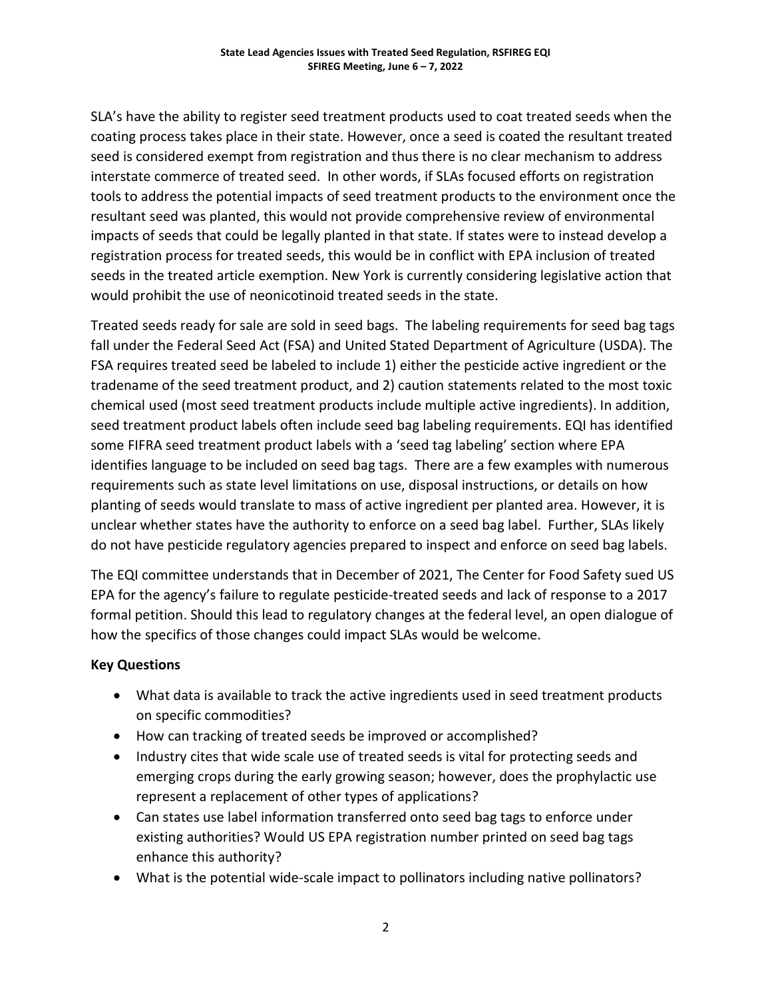SLA's have the ability to register seed treatment products used to coat treated seeds when the coating process takes place in their state. However, once a seed is coated the resultant treated seed is considered exempt from registration and thus there is no clear mechanism to address interstate commerce of treated seed. In other words, if SLAs focused efforts on registration tools to address the potential impacts of seed treatment products to the environment once the resultant seed was planted, this would not provide comprehensive review of environmental impacts of seeds that could be legally planted in that state. If states were to instead develop a registration process for treated seeds, this would be in conflict with EPA inclusion of treated seeds in the treated article exemption. New York is currently considering legislative action that would prohibit the use of neonicotinoid treated seeds in the state.

Treated seeds ready for sale are sold in seed bags. The labeling requirements for seed bag tags fall under the Federal Seed Act (FSA) and United Stated Department of Agriculture (USDA). The FSA requires treated seed be labeled to include 1) either the pesticide active ingredient or the tradename of the seed treatment product, and 2) caution statements related to the most toxic chemical used (most seed treatment products include multiple active ingredients). In addition, seed treatment product labels often include seed bag labeling requirements. EQI has identified some FIFRA seed treatment product labels with a 'seed tag labeling' section where EPA identifies language to be included on seed bag tags. There are a few examples with numerous requirements such as state level limitations on use, disposal instructions, or details on how planting of seeds would translate to mass of active ingredient per planted area. However, it is unclear whether states have the authority to enforce on a seed bag label. Further, SLAs likely do not have pesticide regulatory agencies prepared to inspect and enforce on seed bag labels.

The EQI committee understands that in December of 2021, The Center for Food Safety sued US EPA for the agency's failure to regulate pesticide-treated seeds and lack of response to a 2017 formal petition. Should this lead to regulatory changes at the federal level, an open dialogue of how the specifics of those changes could impact SLAs would be welcome.

## Key Questions

- What data is available to track the active ingredients used in seed treatment products on specific commodities?
- How can tracking of treated seeds be improved or accomplished?
- Industry cites that wide scale use of treated seeds is vital for protecting seeds and emerging crops during the early growing season; however, does the prophylactic use represent a replacement of other types of applications?
- Can states use label information transferred onto seed bag tags to enforce under existing authorities? Would US EPA registration number printed on seed bag tags enhance this authority?
- What is the potential wide-scale impact to pollinators including native pollinators?